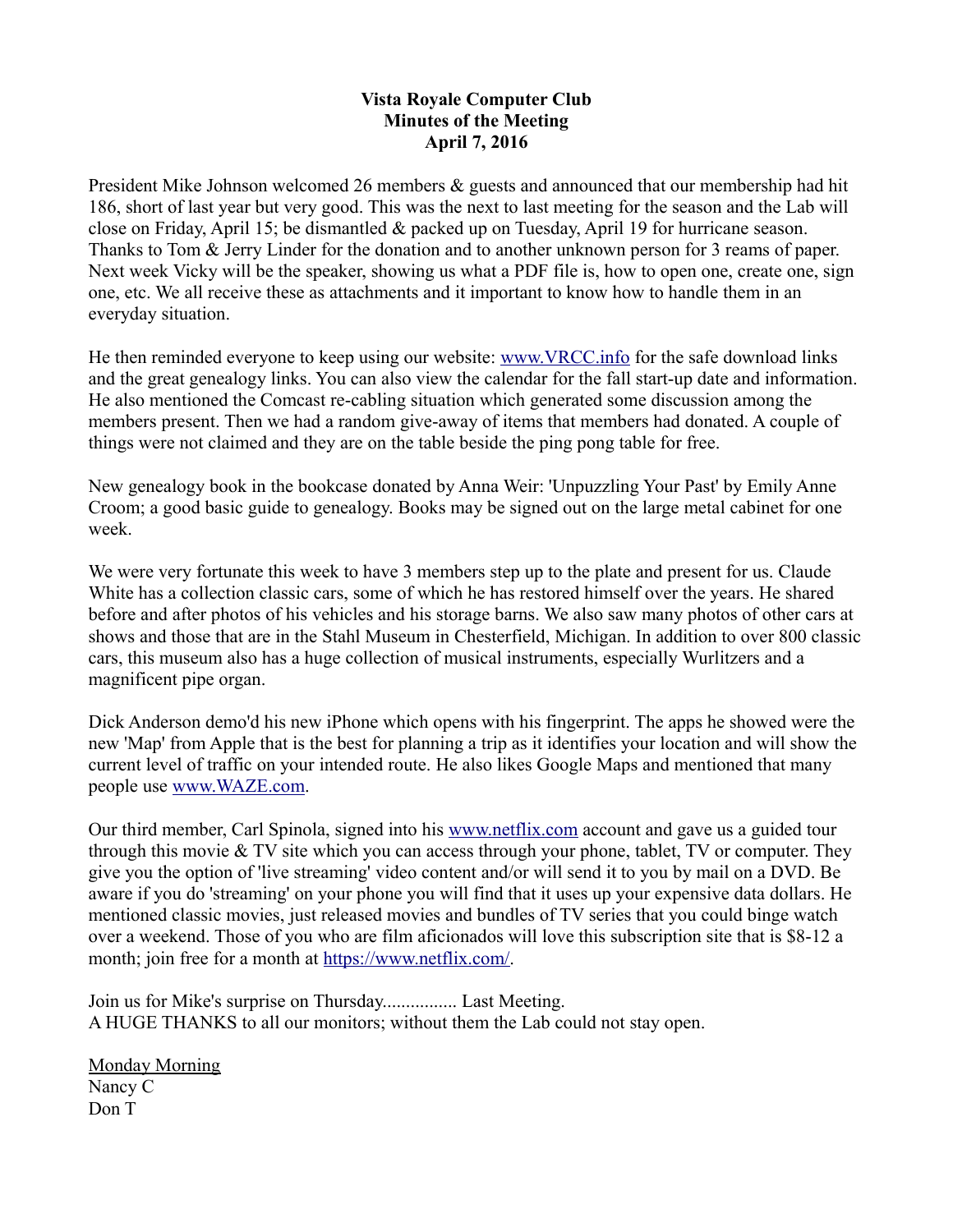## **Vista Royale Computer Club Minutes of the Meeting April 7, 2016**

President Mike Johnson welcomed 26 members  $\&$  guests and announced that our membership had hit 186, short of last year but very good. This was the next to last meeting for the season and the Lab will close on Friday, April 15; be dismantled & packed up on Tuesday, April 19 for hurricane season. Thanks to Tom & Jerry Linder for the donation and to another unknown person for 3 reams of paper. Next week Vicky will be the speaker, showing us what a PDF file is, how to open one, create one, sign one, etc. We all receive these as attachments and it important to know how to handle them in an everyday situation.

He then reminded everyone to keep using our website: [www.VRCC.info](http://www.VRCC.info/) for the safe download links and the great genealogy links. You can also view the calendar for the fall start-up date and information. He also mentioned the Comcast re-cabling situation which generated some discussion among the members present. Then we had a random give-away of items that members had donated. A couple of things were not claimed and they are on the table beside the ping pong table for free.

New genealogy book in the bookcase donated by Anna Weir: 'Unpuzzling Your Past' by Emily Anne Croom; a good basic guide to genealogy. Books may be signed out on the large metal cabinet for one week.

We were very fortunate this week to have 3 members step up to the plate and present for us. Claude White has a collection classic cars, some of which he has restored himself over the years. He shared before and after photos of his vehicles and his storage barns. We also saw many photos of other cars at shows and those that are in the Stahl Museum in Chesterfield, Michigan. In addition to over 800 classic cars, this museum also has a huge collection of musical instruments, especially Wurlitzers and a magnificent pipe organ.

Dick Anderson demo'd his new iPhone which opens with his fingerprint. The apps he showed were the new 'Map' from Apple that is the best for planning a trip as it identifies your location and will show the current level of traffic on your intended route. He also likes Google Maps and mentioned that many people use [www.WAZE.com.](http://www.WAZE.com/)

Our third member, Carl Spinola, signed into his [www.netflix.com](http://www.Netflix.com/) account and gave us a guided tour through this movie & TV site which you can access through your phone, tablet, TV or computer. They give you the option of 'live streaming' video content and/or will send it to you by mail on a DVD. Be aware if you do 'streaming' on your phone you will find that it uses up your expensive data dollars. He mentioned classic movies, just released movies and bundles of TV series that you could binge watch over a weekend. Those of you who are film aficionados will love this subscription site that is \$8-12 a month; join free for a month at [https://www.netflix.com/.](https://www.netflix.com/)

Join us for Mike's surprise on Thursday................ Last Meeting. A HUGE THANKS to all our monitors; without them the Lab could not stay open.

Monday Morning Nancy C Don T